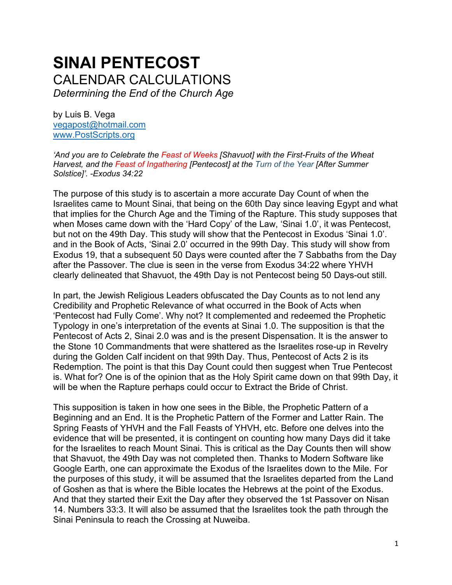# **SINAI PENTECOST**  CALENDAR CALCULATIONS *Determining the End of the Church Age*

by Luis B. Vega [vegapost@hotmail.com](mailto:vegapost@hotmail.com) [www.PostScripts.org](http://www.postscripts.org/)

*'And you are to Celebrate the Feast of Weeks [Shavuot] with the First-Fruits of the Wheat Harvest, and the Feast of Ingathering [Pentecost] at the Turn of the Year [After Summer Solstice]'. -Exodus 34:22*

The purpose of this study is to ascertain a more accurate Day Count of when the Israelites came to Mount Sinai, that being on the 60th Day since leaving Egypt and what that implies for the Church Age and the Timing of the Rapture. This study supposes that when Moses came down with the 'Hard Copy' of the Law, 'Sinai 1.0', it was Pentecost, but not on the 49th Day. This study will show that the Pentecost in Exodus 'Sinai 1.0'. and in the Book of Acts, 'Sinai 2.0' occurred in the 99th Day. This study will show from Exodus 19, that a subsequent 50 Days were counted after the 7 Sabbaths from the Day after the Passover. The clue is seen in the verse from Exodus 34:22 where YHVH clearly delineated that Shavuot, the 49th Day is not Pentecost being 50 Days-out still.

In part, the Jewish Religious Leaders obfuscated the Day Counts as to not lend any Credibility and Prophetic Relevance of what occurred in the Book of Acts when 'Pentecost had Fully Come'. Why not? It complemented and redeemed the Prophetic Typology in one's interpretation of the events at Sinai 1.0. The supposition is that the Pentecost of Acts 2, Sinai 2.0 was and is the present Dispensation. It is the answer to the Stone 10 Commandments that were shattered as the Israelites rose-up in Revelry during the Golden Calf incident on that 99th Day. Thus, Pentecost of Acts 2 is its Redemption. The point is that this Day Count could then suggest when True Pentecost is. What for? One is of the opinion that as the Holy Spirit came down on that 99th Day, it will be when the Rapture perhaps could occur to Extract the Bride of Christ.

This supposition is taken in how one sees in the Bible, the Prophetic Pattern of a Beginning and an End. It is the Prophetic Pattern of the Former and Latter Rain. The Spring Feasts of YHVH and the Fall Feasts of YHVH, etc. Before one delves into the evidence that will be presented, it is contingent on counting how many Days did it take for the Israelites to reach Mount Sinai. This is critical as the Day Counts then will show that Shavuot, the 49th Day was not completed then. Thanks to Modern Software like Google Earth, one can approximate the Exodus of the Israelites down to the Mile. For the purposes of this study, it will be assumed that the Israelites departed from the Land of Goshen as that is where the Bible locates the Hebrews at the point of the Exodus. And that they started their Exit the Day after they observed the 1st Passover on Nisan 14. Numbers 33:3. It will also be assumed that the Israelites took the path through the Sinai Peninsula to reach the Crossing at Nuweiba.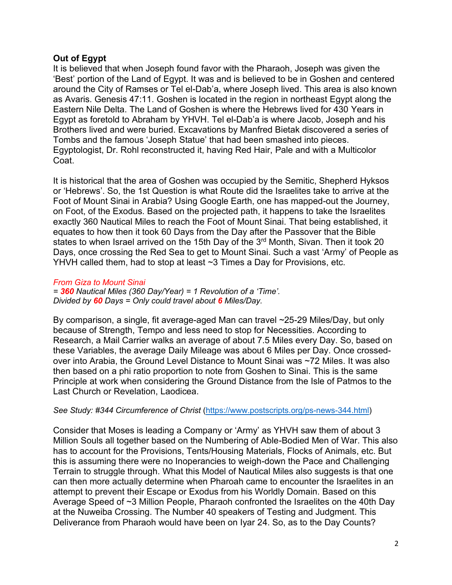## **Out of Egypt**

It is believed that when Joseph found favor with the Pharaoh, Joseph was given the 'Best' portion of the Land of Egypt. It was and is believed to be in Goshen and centered around the City of Ramses or Tel el-Dab'a, where Joseph lived. This area is also known as Avaris. Genesis 47:11. Goshen is located in the region in northeast Egypt along the Eastern Nile Delta. The Land of Goshen is where the Hebrews lived for 430 Years in Egypt as foretold to Abraham by YHVH. Tel el-Dab'a is where Jacob, Joseph and his Brothers lived and were buried. Excavations by Manfred Bietak discovered a series of Tombs and the famous 'Joseph Statue' that had been smashed into pieces. Egyptologist, Dr. Rohl reconstructed it, having Red Hair, Pale and with a Multicolor Coat.

It is historical that the area of Goshen was occupied by the Semitic, Shepherd Hyksos or 'Hebrews'. So, the 1st Question is what Route did the Israelites take to arrive at the Foot of Mount Sinai in Arabia? Using Google Earth, one has mapped-out the Journey, on Foot, of the Exodus. Based on the projected path, it happens to take the Israelites exactly 360 Nautical Miles to reach the Foot of Mount Sinai. That being established, it equates to how then it took 60 Days from the Day after the Passover that the Bible states to when Israel arrived on the 15th Day of the 3<sup>rd</sup> Month, Sivan. Then it took 20 Days, once crossing the Red Sea to get to Mount Sinai. Such a vast 'Army' of People as YHVH called them, had to stop at least ~3 Times a Day for Provisions, etc.

#### *From Giza to Mount Sinai*

*= 360 Nautical Miles (360 Day/Year) = 1 Revolution of a 'Time'. Divided by 60 Days = Only could travel about 6 Miles/Day.*

By comparison, a single, fit average-aged Man can travel ~25-29 Miles/Day, but only because of Strength, Tempo and less need to stop for Necessities. According to Research, a Mail Carrier walks an average of about 7.5 Miles every Day. So, based on these Variables, the average Daily Mileage was about 6 Miles per Day. Once crossedover into Arabia, the Ground Level Distance to Mount Sinai was ~72 Miles. It was also then based on a phi ratio proportion to note from Goshen to Sinai. This is the same Principle at work when considering the Ground Distance from the Isle of Patmos to the Last Church or Revelation, Laodicea.

## *See Study: #344 Circumference of Christ* [\(https://www.postscripts.org/ps-news-344.html\)](https://www.postscripts.org/ps-news-344.html)

Consider that Moses is leading a Company or 'Army' as YHVH saw them of about 3 Million Souls all together based on the Numbering of Able-Bodied Men of War. This also has to account for the Provisions, Tents/Housing Materials, Flocks of Animals, etc. But this is assuming there were no Inoperancies to weigh-down the Pace and Challenging Terrain to struggle through. What this Model of Nautical Miles also suggests is that one can then more actually determine when Pharoah came to encounter the Israelites in an attempt to prevent their Escape or Exodus from his Worldly Domain. Based on this Average Speed of ~3 Million People, Pharaoh confronted the Israelites on the 40th Day at the Nuweiba Crossing. The Number 40 speakers of Testing and Judgment. This Deliverance from Pharaoh would have been on Iyar 24. So, as to the Day Counts?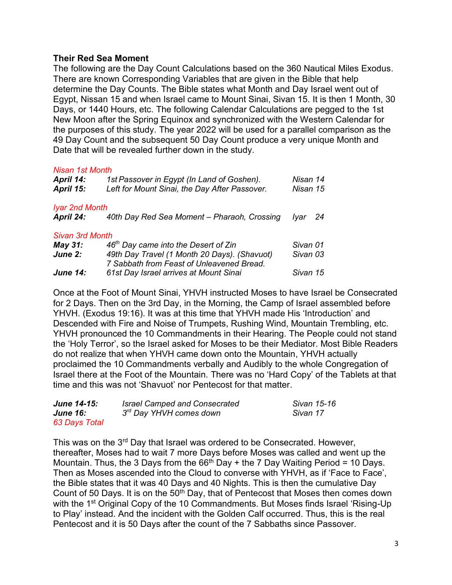#### **Their Red Sea Moment**

The following are the Day Count Calculations based on the 360 Nautical Miles Exodus. There are known Corresponding Variables that are given in the Bible that help determine the Day Counts. The Bible states what Month and Day Israel went out of Egypt, Nissan 15 and when Israel came to Mount Sinai, Sivan 15. It is then 1 Month, 30 Days, or 1440 Hours, etc. The following Calendar Calculations are pegged to the 1st New Moon after the Spring Equinox and synchronized with the Western Calendar for the purposes of this study. The year 2022 will be used for a parallel comparison as the 49 Day Count and the subsequent 50 Day Count produce a very unique Month and Date that will be revealed further down in the study.

#### *Nisan 1st Month*

| April 14:<br>April 15: | 1st Passover in Egypt (In Land of Goshen).<br>Left for Mount Sinai, the Day After Passover. | Nisan 14<br>Nisan 15 |    |
|------------------------|---------------------------------------------------------------------------------------------|----------------------|----|
| <b>Iyar 2nd Month</b>  |                                                                                             |                      |    |
| <b>April 24:</b>       | 40th Day Red Sea Moment - Pharaoh, Crossing                                                 | Ivar                 | 24 |
| <b>Sivan 3rd Month</b> |                                                                                             |                      |    |
| May 31:                | 46 <sup>th</sup> Day came into the Desert of Zin                                            | Sivan 01             |    |
| June 2:                | 49th Day Travel (1 Month 20 Days). (Shavuot)                                                | Sivan 03             |    |
|                        | 7 Sabbath from Feast of Unleavened Bread.                                                   |                      |    |
| <b>June 14:</b>        | 61st Day Israel arrives at Mount Sinai                                                      | Sivan 15             |    |

Once at the Foot of Mount Sinai, YHVH instructed Moses to have Israel be Consecrated for 2 Days. Then on the 3rd Day, in the Morning, the Camp of Israel assembled before YHVH. (Exodus 19:16). It was at this time that YHVH made His 'Introduction' and Descended with Fire and Noise of Trumpets, Rushing Wind, Mountain Trembling, etc. YHVH pronounced the 10 Commandments in their Hearing. The People could not stand the 'Holy Terror', so the Israel asked for Moses to be their Mediator. Most Bible Readers do not realize that when YHVH came down onto the Mountain, YHVH actually proclaimed the 10 Commandments verbally and Audibly to the whole Congregation of Israel there at the Foot of the Mountain. There was no 'Hard Copy' of the Tablets at that time and this was not 'Shavuot' nor Pentecost for that matter.

| June 14-15:     | <b>Israel Camped and Consecrated</b> | Sivan 15-16 |
|-----------------|--------------------------------------|-------------|
| <b>June 16:</b> | 3 <sup>rd</sup> Day YHVH comes down  | Sivan 17    |
| 63 Days Total   |                                      |             |

This was on the 3<sup>rd</sup> Day that Israel was ordered to be Consecrated. However, thereafter, Moses had to wait 7 more Days before Moses was called and went up the Mountain. Thus, the 3 Days from the  $66<sup>th</sup>$  Day + the 7 Day Waiting Period = 10 Days. Then as Moses ascended into the Cloud to converse with YHVH, as if 'Face to Face', the Bible states that it was 40 Days and 40 Nights. This is then the cumulative Day Count of 50 Days. It is on the 50<sup>th</sup> Day, that of Pentecost that Moses then comes down with the 1<sup>st</sup> Original Copy of the 10 Commandments. But Moses finds Israel 'Rising-Up to Play' instead. And the incident with the Golden Calf occurred. Thus, this is the real Pentecost and it is 50 Days after the count of the 7 Sabbaths since Passover.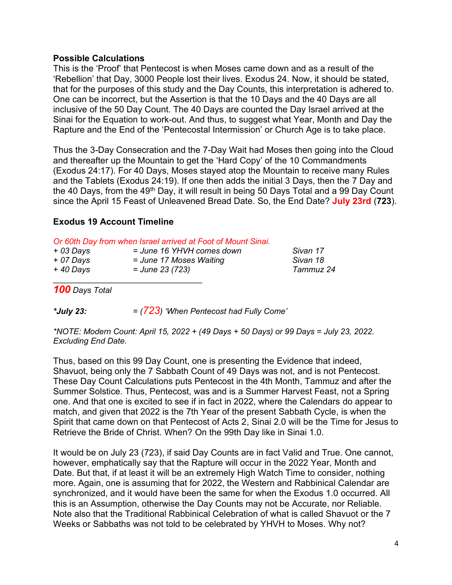#### **Possible Calculations**

This is the 'Proof' that Pentecost is when Moses came down and as a result of the 'Rebellion' that Day, 3000 People lost their lives. Exodus 24. Now, it should be stated, that for the purposes of this study and the Day Counts, this interpretation is adhered to. One can be incorrect, but the Assertion is that the 10 Days and the 40 Days are all inclusive of the 50 Day Count. The 40 Days are counted the Day Israel arrived at the Sinai for the Equation to work-out. And thus, to suggest what Year, Month and Day the Rapture and the End of the 'Pentecostal Intermission' or Church Age is to take place.

Thus the 3-Day Consecration and the 7-Day Wait had Moses then going into the Cloud and thereafter up the Mountain to get the 'Hard Copy' of the 10 Commandments (Exodus 24:17). For 40 Days, Moses stayed atop the Mountain to receive many Rules and the Tablets (Exodus 24:19). If one then adds the initial 3 Days, then the 7 Day and the 40 Days, from the 49<sup>th</sup> Day, it will result in being 50 Days Total and a 99 Day Count since the April 15 Feast of Unleavened Bread Date. So, the End Date? **July 23rd** (**723**).

## **Exodus 19 Account Timeline**

|  |  |  |  |  |  | Or 60th Day from when Israel arrived at Foot of Mount Sinai. |  |  |  |  |  |
|--|--|--|--|--|--|--------------------------------------------------------------|--|--|--|--|--|
|--|--|--|--|--|--|--------------------------------------------------------------|--|--|--|--|--|

| $+$ 03 Days | $\sim$ . The same state $\sim$ , and the same state $\sim$ , where $\sim$ , and $\sim$ , and $\sim$ , and $\sim$ , and $\sim$<br>= June 16 YHVH comes down | Sivan 17  |
|-------------|------------------------------------------------------------------------------------------------------------------------------------------------------------|-----------|
| + 07 Days   | = June 17 Moses Waiting                                                                                                                                    | Sivan 18  |
| $+40$ Days  | = June 23 (723)                                                                                                                                            | Tammuz 24 |
|             |                                                                                                                                                            |           |

*100 Days Total* 

*\*July 23: = (723) 'When Pentecost had Fully Come'*

*\*NOTE: Modern Count: April 15, 2022 + (49 Days + 50 Days) or 99 Days = July 23, 2022. Excluding End Date.*

Thus, based on this 99 Day Count, one is presenting the Evidence that indeed, Shavuot, being only the 7 Sabbath Count of 49 Days was not, and is not Pentecost. These Day Count Calculations puts Pentecost in the 4th Month, Tammuz and after the Summer Solstice. Thus, Pentecost, was and is a Summer Harvest Feast, not a Spring one. And that one is excited to see if in fact in 2022, where the Calendars do appear to match, and given that 2022 is the 7th Year of the present Sabbath Cycle, is when the Spirit that came down on that Pentecost of Acts 2, Sinai 2.0 will be the Time for Jesus to Retrieve the Bride of Christ. When? On the 99th Day like in Sinai 1.0.

It would be on July 23 (723), if said Day Counts are in fact Valid and True. One cannot, however, emphatically say that the Rapture will occur in the 2022 Year, Month and Date. But that, if at least it will be an extremely High Watch Time to consider, nothing more. Again, one is assuming that for 2022, the Western and Rabbinical Calendar are synchronized, and it would have been the same for when the Exodus 1.0 occurred. All this is an Assumption, otherwise the Day Counts may not be Accurate, nor Reliable. Note also that the Traditional Rabbinical Celebration of what is called Shavuot or the 7 Weeks or Sabbaths was not told to be celebrated by YHVH to Moses. Why not?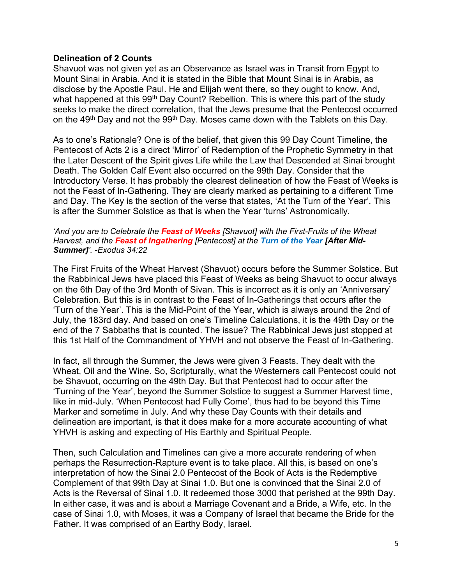#### **Delineation of 2 Counts**

Shavuot was not given yet as an Observance as Israel was in Transit from Egypt to Mount Sinai in Arabia. And it is stated in the Bible that Mount Sinai is in Arabia, as disclose by the Apostle Paul. He and Elijah went there, so they ought to know. And, what happened at this 99<sup>th</sup> Day Count? Rebellion. This is where this part of the study seeks to make the direct correlation, that the Jews presume that the Pentecost occurred on the 49<sup>th</sup> Day and not the 99<sup>th</sup> Day. Moses came down with the Tablets on this Day.

As to one's Rationale? One is of the belief, that given this 99 Day Count Timeline, the Pentecost of Acts 2 is a direct 'Mirror' of Redemption of the Prophetic Symmetry in that the Later Descent of the Spirit gives Life while the Law that Descended at Sinai brought Death. The Golden Calf Event also occurred on the 99th Day. Consider that the Introductory Verse. It has probably the clearest delineation of how the Feast of Weeks is not the Feast of In-Gathering. They are clearly marked as pertaining to a different Time and Day. The Key is the section of the verse that states, 'At the Turn of the Year'. This is after the Summer Solstice as that is when the Year 'turns' Astronomically.

#### *'And you are to Celebrate the Feast of Weeks [Shavuot] with the First-Fruits of the Wheat Harvest, and the Feast of Ingathering [Pentecost] at the Turn of the Year [After Mid-Summer]'. -Exodus 34:22*

The First Fruits of the Wheat Harvest (Shavuot) occurs before the Summer Solstice. But the Rabbinical Jews have placed this Feast of Weeks as being Shavuot to occur always on the 6th Day of the 3rd Month of Sivan. This is incorrect as it is only an 'Anniversary' Celebration. But this is in contrast to the Feast of In-Gatherings that occurs after the 'Turn of the Year'. This is the Mid-Point of the Year, which is always around the 2nd of July, the 183rd day. And based on one's Timeline Calculations, it is the 49th Day or the end of the 7 Sabbaths that is counted. The issue? The Rabbinical Jews just stopped at this 1st Half of the Commandment of YHVH and not observe the Feast of In-Gathering.

In fact, all through the Summer, the Jews were given 3 Feasts. They dealt with the Wheat, Oil and the Wine. So, Scripturally, what the Westerners call Pentecost could not be Shavuot, occurring on the 49th Day. But that Pentecost had to occur after the 'Turning of the Year', beyond the Summer Solstice to suggest a Summer Harvest time, like in mid-July. 'When Pentecost had Fully Come', thus had to be beyond this Time Marker and sometime in July. And why these Day Counts with their details and delineation are important, is that it does make for a more accurate accounting of what YHVH is asking and expecting of His Earthly and Spiritual People.

Then, such Calculation and Timelines can give a more accurate rendering of when perhaps the Resurrection-Rapture event is to take place. All this, is based on one's interpretation of how the Sinai 2.0 Pentecost of the Book of Acts is the Redemptive Complement of that 99th Day at Sinai 1.0. But one is convinced that the Sinai 2.0 of Acts is the Reversal of Sinai 1.0. It redeemed those 3000 that perished at the 99th Day. In either case, it was and is about a Marriage Covenant and a Bride, a Wife, etc. In the case of Sinai 1.0, with Moses, it was a Company of Israel that became the Bride for the Father. It was comprised of an Earthy Body, Israel.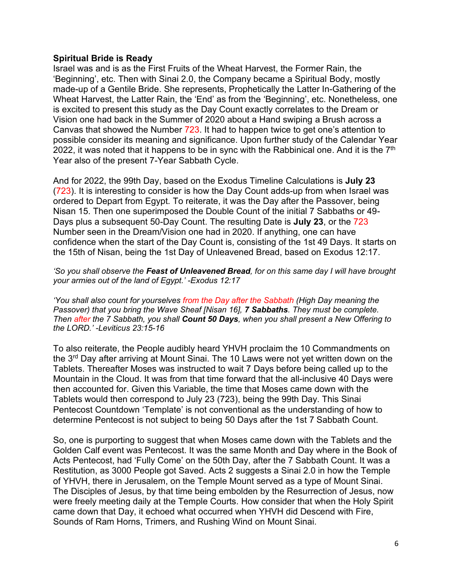#### **Spiritual Bride is Ready**

Israel was and is as the First Fruits of the Wheat Harvest, the Former Rain, the 'Beginning', etc. Then with Sinai 2.0, the Company became a Spiritual Body, mostly made-up of a Gentile Bride. She represents, Prophetically the Latter In-Gathering of the Wheat Harvest, the Latter Rain, the 'End' as from the 'Beginning', etc. Nonetheless, one is excited to present this study as the Day Count exactly correlates to the Dream or Vision one had back in the Summer of 2020 about a Hand swiping a Brush across a Canvas that showed the Number 723. It had to happen twice to get one's attention to possible consider its meaning and significance. Upon further study of the Calendar Year 2022, it was noted that it happens to be in sync with the Rabbinical one. And it is the 7<sup>th</sup> Year also of the present 7-Year Sabbath Cycle.

And for 2022, the 99th Day, based on the Exodus Timeline Calculations is **July 23** (723). It is interesting to consider is how the Day Count adds-up from when Israel was ordered to Depart from Egypt. To reiterate, it was the Day after the Passover, being Nisan 15. Then one superimposed the Double Count of the initial 7 Sabbaths or 49- Days plus a subsequent 50-Day Count. The resulting Date is **July 23**, or the 723 Number seen in the Dream/Vision one had in 2020. If anything, one can have confidence when the start of the Day Count is, consisting of the 1st 49 Days. It starts on the 15th of Nisan, being the 1st Day of Unleavened Bread, based on Exodus 12:17.

*'So you shall observe the Feast of Unleavened Bread, for on this same day I will have brought your armies out of the land of Egypt.' -Exodus 12:17*

*'You shall also count for yourselves from the Day after the Sabbath (High Day meaning the Passover) that you bring the Wave Sheaf [Nisan 16], 7 Sabbaths. They must be complete. Then after the 7 Sabbath, you shall Count 50 Days, when you shall present a New Offering to the LORD.' -Leviticus 23:15-16*

To also reiterate, the People audibly heard YHVH proclaim the 10 Commandments on the 3<sup>rd</sup> Day after arriving at Mount Sinai. The 10 Laws were not yet written down on the Tablets. Thereafter Moses was instructed to wait 7 Days before being called up to the Mountain in the Cloud. It was from that time forward that the all-inclusive 40 Days were then accounted for. Given this Variable, the time that Moses came down with the Tablets would then correspond to July 23 (723), being the 99th Day. This Sinai Pentecost Countdown 'Template' is not conventional as the understanding of how to determine Pentecost is not subject to being 50 Days after the 1st 7 Sabbath Count.

So, one is purporting to suggest that when Moses came down with the Tablets and the Golden Calf event was Pentecost. It was the same Month and Day where in the Book of Acts Pentecost, had 'Fully Come' on the 50th Day, after the 7 Sabbath Count. It was a Restitution, as 3000 People got Saved. Acts 2 suggests a Sinai 2.0 in how the Temple of YHVH, there in Jerusalem, on the Temple Mount served as a type of Mount Sinai. The Disciples of Jesus, by that time being embolden by the Resurrection of Jesus, now were freely meeting daily at the Temple Courts. How consider that when the Holy Spirit came down that Day, it echoed what occurred when YHVH did Descend with Fire, Sounds of Ram Horns, Trimers, and Rushing Wind on Mount Sinai.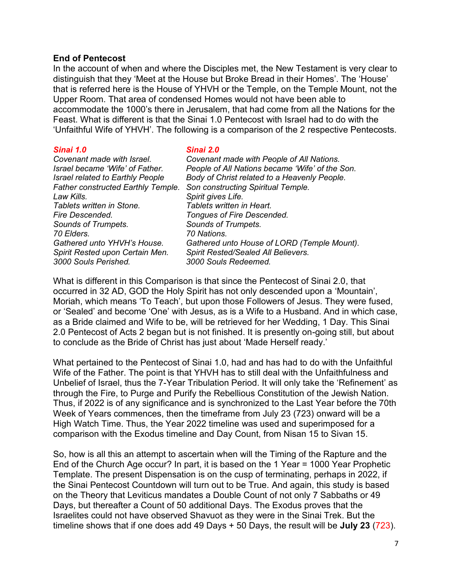#### **End of Pentecost**

In the account of when and where the Disciples met, the New Testament is very clear to distinguish that they 'Meet at the House but Broke Bread in their Homes'. The 'House' that is referred here is the House of YHVH or the Temple, on the Temple Mount, not the Upper Room. That area of condensed Homes would not have been able to accommodate the 1000's there in Jerusalem, that had come from all the Nations for the Feast. What is different is that the Sinai 1.0 Pentecost with Israel had to do with the 'Unfaithful Wife of YHVH'. The following is a comparison of the 2 respective Pentecosts.

| Sinai 1.0                                 | Sinai 2.0                                       |
|-------------------------------------------|-------------------------------------------------|
| Covenant made with Israel.                | Covenant made with People of All Nations.       |
| Israel became 'Wife' of Father.           | People of All Nations became 'Wife' of the Son. |
| <b>Israel related to Earthly People</b>   | Body of Christ related to a Heavenly People.    |
| <b>Father constructed Earthly Temple.</b> | Son constructing Spiritual Temple.              |
| Law Kills.                                | Spirit gives Life.                              |
| Tablets written in Stone.                 | Tablets written in Heart.                       |
| <b>Fire Descended.</b>                    | Tongues of Fire Descended.                      |
| Sounds of Trumpets.                       | Sounds of Trumpets.                             |
| 70 Elders.                                | 70 Nations.                                     |
| Gathered unto YHVH's House.               | Gathered unto House of LORD (Temple Mount).     |
| Spirit Rested upon Certain Men.           | Spirit Rested/Sealed All Believers.             |
| 3000 Souls Perished.                      | 3000 Souls Redeemed.                            |

What is different in this Comparison is that since the Pentecost of Sinai 2.0, that occurred in 32 AD, GOD the Holy Spirit has not only descended upon a 'Mountain', Moriah, which means 'To Teach', but upon those Followers of Jesus. They were fused, or 'Sealed' and become 'One' with Jesus, as is a Wife to a Husband. And in which case, as a Bride claimed and Wife to be, will be retrieved for her Wedding, 1 Day. This Sinai 2.0 Pentecost of Acts 2 began but is not finished. It is presently on-going still, but about to conclude as the Bride of Christ has just about 'Made Herself ready.'

What pertained to the Pentecost of Sinai 1.0, had and has had to do with the Unfaithful Wife of the Father. The point is that YHVH has to still deal with the Unfaithfulness and Unbelief of Israel, thus the 7-Year Tribulation Period. It will only take the 'Refinement' as through the Fire, to Purge and Purify the Rebellious Constitution of the Jewish Nation. Thus, if 2022 is of any significance and is synchronized to the Last Year before the 70th Week of Years commences, then the timeframe from July 23 (723) onward will be a High Watch Time. Thus, the Year 2022 timeline was used and superimposed for a comparison with the Exodus timeline and Day Count, from Nisan 15 to Sivan 15.

So, how is all this an attempt to ascertain when will the Timing of the Rapture and the End of the Church Age occur? In part, it is based on the 1 Year = 1000 Year Prophetic Template. The present Dispensation is on the cusp of terminating, perhaps in 2022, if the Sinai Pentecost Countdown will turn out to be True. And again, this study is based on the Theory that Leviticus mandates a Double Count of not only 7 Sabbaths or 49 Days, but thereafter a Count of 50 additional Days. The Exodus proves that the Israelites could not have observed Shavuot as they were in the Sinai Trek. But the timeline shows that if one does add 49 Days + 50 Days, the result will be **July 23** (723).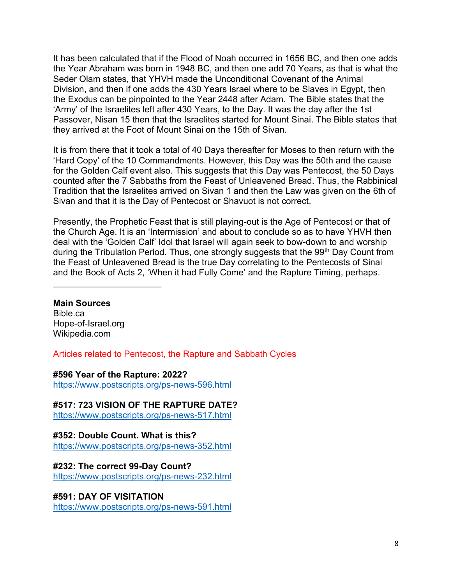It has been calculated that if the Flood of Noah occurred in 1656 BC, and then one adds the Year Abraham was born in 1948 BC, and then one add 70 Years, as that is what the Seder Olam states, that YHVH made the Unconditional Covenant of the Animal Division, and then if one adds the 430 Years Israel where to be Slaves in Egypt, then the Exodus can be pinpointed to the Year 2448 after Adam. The Bible states that the 'Army' of the Israelites left after 430 Years, to the Day. It was the day after the 1st Passover, Nisan 15 then that the Israelites started for Mount Sinai. The Bible states that they arrived at the Foot of Mount Sinai on the 15th of Sivan.

It is from there that it took a total of 40 Days thereafter for Moses to then return with the 'Hard Copy' of the 10 Commandments. However, this Day was the 50th and the cause for the Golden Calf event also. This suggests that this Day was Pentecost, the 50 Days counted after the 7 Sabbaths from the Feast of Unleavened Bread. Thus, the Rabbinical Tradition that the Israelites arrived on Sivan 1 and then the Law was given on the 6th of Sivan and that it is the Day of Pentecost or Shavuot is not correct.

Presently, the Prophetic Feast that is still playing-out is the Age of Pentecost or that of the Church Age. It is an 'Intermission' and about to conclude so as to have YHVH then deal with the 'Golden Calf' Idol that Israel will again seek to bow-down to and worship during the Tribulation Period. Thus, one strongly suggests that the 99<sup>th</sup> Day Count from the Feast of Unleavened Bread is the true Day correlating to the Pentecosts of Sinai and the Book of Acts 2, 'When it had Fully Come' and the Rapture Timing, perhaps.

# **Main Sources**

Bible.ca Hope-of-Israel.org Wikipedia.com

 $\mathcal{L}_\text{max}$  , where  $\mathcal{L}_\text{max}$  , we have the set of the set of the set of the set of the set of the set of the set of the set of the set of the set of the set of the set of the set of the set of the set of the set of

Articles related to Pentecost, the Rapture and Sabbath Cycles

## **#596 Year of the Rapture: 2022?**

<https://www.postscripts.org/ps-news-596.html>

**#517: 723 VISION OF THE RAPTURE DATE?**

<https://www.postscripts.org/ps-news-517.html>

## **#352: Double Count. What is this?**

<https://www.postscripts.org/ps-news-352.html>

## **#232: The correct 99-Day Count?**

<https://www.postscripts.org/ps-news-232.html>

## **#591: DAY OF VISITATION**

<https://www.postscripts.org/ps-news-591.html>